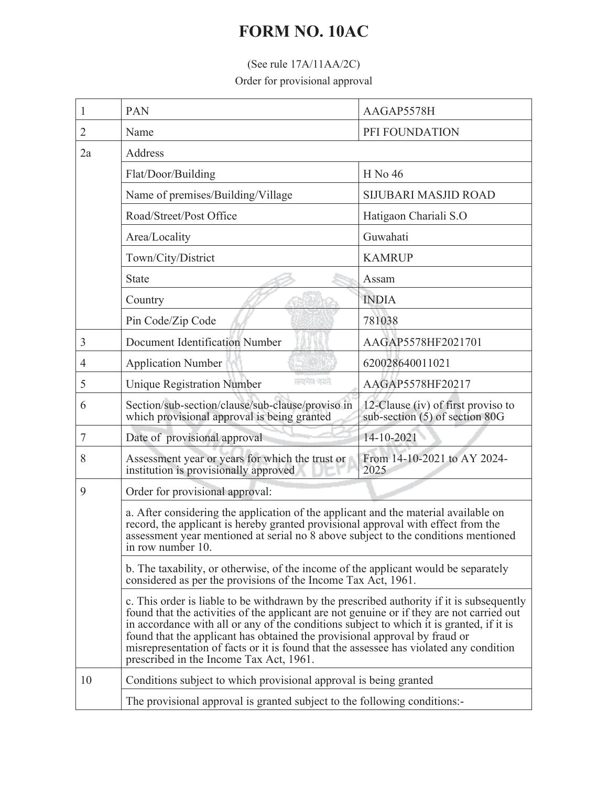## **FORM NO. 10AC**

## (See rule 17A/11AA/2C)

Order for provisional approval

| 1              | PAN                                                                                                                                                                                                                                                                                                                                                                                                                                                                                                   | AAGAP5578H                                                             |  |
|----------------|-------------------------------------------------------------------------------------------------------------------------------------------------------------------------------------------------------------------------------------------------------------------------------------------------------------------------------------------------------------------------------------------------------------------------------------------------------------------------------------------------------|------------------------------------------------------------------------|--|
| $\overline{2}$ | Name                                                                                                                                                                                                                                                                                                                                                                                                                                                                                                  | PFI FOUNDATION                                                         |  |
| 2a             | Address                                                                                                                                                                                                                                                                                                                                                                                                                                                                                               |                                                                        |  |
|                | Flat/Door/Building                                                                                                                                                                                                                                                                                                                                                                                                                                                                                    | H No 46                                                                |  |
|                | Name of premises/Building/Village                                                                                                                                                                                                                                                                                                                                                                                                                                                                     | <b>SIJUBARI MASJID ROAD</b>                                            |  |
|                | Road/Street/Post Office                                                                                                                                                                                                                                                                                                                                                                                                                                                                               | Hatigaon Chariali S.O                                                  |  |
|                | Area/Locality                                                                                                                                                                                                                                                                                                                                                                                                                                                                                         | Guwahati                                                               |  |
|                | Town/City/District                                                                                                                                                                                                                                                                                                                                                                                                                                                                                    | <b>KAMRUP</b>                                                          |  |
|                | <b>State</b>                                                                                                                                                                                                                                                                                                                                                                                                                                                                                          | Assam                                                                  |  |
|                | Country                                                                                                                                                                                                                                                                                                                                                                                                                                                                                               | <b>INDIA</b>                                                           |  |
|                | Pin Code/Zip Code                                                                                                                                                                                                                                                                                                                                                                                                                                                                                     | 781038                                                                 |  |
| 3              | <b>Document Identification Number</b>                                                                                                                                                                                                                                                                                                                                                                                                                                                                 | AAGAP5578HF2021701                                                     |  |
| $\overline{4}$ | <b>Application Number</b>                                                                                                                                                                                                                                                                                                                                                                                                                                                                             | 620028640011021                                                        |  |
| 5              | सम्बद्धान क्याने<br><b>Unique Registration Number</b>                                                                                                                                                                                                                                                                                                                                                                                                                                                 | AAGAP5578HF20217                                                       |  |
| 6              | Section/sub-section/clause/sub-clause/proviso in<br>which provisional approval is being granted                                                                                                                                                                                                                                                                                                                                                                                                       | 12-Clause (iv) of first proviso to<br>sub-section $(5)$ of section 80G |  |
| 7              | Date of provisional approval                                                                                                                                                                                                                                                                                                                                                                                                                                                                          | 14-10-2021                                                             |  |
| 8              | Assessment year or years for which the trust or<br>institution is provisionally approved                                                                                                                                                                                                                                                                                                                                                                                                              | From 14-10-2021 to AY 2024-<br>2025                                    |  |
| 9              | Order for provisional approval:                                                                                                                                                                                                                                                                                                                                                                                                                                                                       |                                                                        |  |
|                | a. After considering the application of the applicant and the material available on<br>record, the applicant is hereby granted provisional approval with effect from the<br>assessment year mentioned at serial no 8 above subject to the conditions mentioned<br>in row number 10.                                                                                                                                                                                                                   |                                                                        |  |
|                | b. The taxability, or otherwise, of the income of the applicant would be separately<br>considered as per the provisions of the Income Tax Act, 1961.                                                                                                                                                                                                                                                                                                                                                  |                                                                        |  |
|                | c. This order is liable to be withdrawn by the prescribed authority if it is subsequently<br>found that the activities of the applicant are not genuine or if they are not carried out<br>in accordance with all or any of the conditions subject to which it is granted, if it is<br>found that the applicant has obtained the provisional approval by fraud or<br>misrepresentation of facts or it is found that the assessee has violated any condition<br>prescribed in the Income Tax Act, 1961. |                                                                        |  |
| 10             | Conditions subject to which provisional approval is being granted<br>The provisional approval is granted subject to the following conditions:-                                                                                                                                                                                                                                                                                                                                                        |                                                                        |  |
|                |                                                                                                                                                                                                                                                                                                                                                                                                                                                                                                       |                                                                        |  |